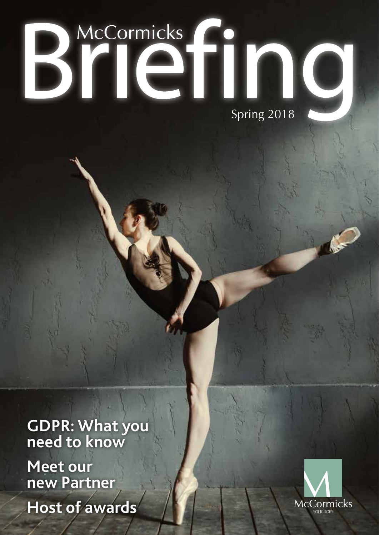# BYICTING

**GDPR: What you need to know**

**Meet our new Partner Host of awards**

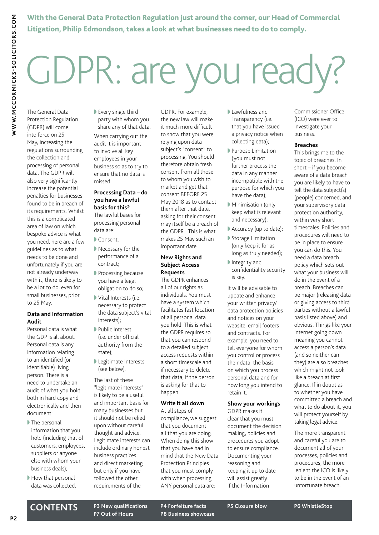The General Data

**WWW.MCCORMICKS-SOLICITORS.COM**

WWW.MCCORMICKS-SOLICITORS.COM

With the General Data Protection Regulation just around the corner, our Head of Commercial Litigation, Philip Edmondson, takes a look at what businesses need to do to comply.

# GDPR: are you ready?

Protection Regulation (GDPR) will come into force on 25 May, increasing the regulations surrounding the collection and processing of personal data. The GDPR will also very significantly increase the potential penalties for businesses found to be in breach of its requirements. Whilst this is a complicated area of law on which bespoke advice is what you need, here are a few guidelines as to what needs to be done and unfortunately if you are not already underway with it, there is likely to be a lot to do, even for small businesses, prior to 25 May.

### **Data and Information Audit**

Personal data is what the GDP is all about. Personal data is any information relating to an identified (or identifiable) living person. There is a need to undertake an audit of what you hold both in hard copy and electronically and then document:

- The personal information that you hold (including that of customers, employees, suppliers or anyone else with whom your business deals);
- How that personal data was collected.

■ Every single third party with whom you

share any of that data. When carrying out the audit it is important to involve all key employees in your business so as to try to ensure that no data is missed.

### **Processing Data – do you have a lawful basis for this?**

The lawful bases for processing personal data are:

- ◗ Consent;
- Necessary for the performance of a contract;
- **▶ Processing because** you have a legal obligation to do so;
- Vital Interests (i.e. necessary to protect the data subject's vital interests);
- ◗ Public Interest (i.e. under official authority from the state);
- ◗ Legitimate Interests (see below).

The last of these "legitimate interests" is likely to be a useful and important basis for many businesses but it should not be relied upon without careful thought and advice. Legitimate interests can include ordinary honest business practices and direct marketing but only if you have followed the other requirements of the

GDPR. For example, the new law will make it much more difficult to show that you were relying upon data subject's "consent" to processing. You should therefore obtain fresh consent from all those to whom you wish to market and get that consent BEFORE 25 May 2018 as to contact them after that date, asking for their consent may itself be a breach of the GDPR. This is what makes 25 May such an important date.

### **New Rights and Subject Access Requests**

The GDPR enhances all of our rights as individuals. You must have a system which facilitates fast location of all personal data you hold. This is what the GDPR requires so that you can respond to a detailed subject access requests within a short timescale and if necessary to delete that data, if the person is asking for that to happen.

### **Write it all down**

At all steps of compliance, we suggest that you document all that you are doing. When doing this show that you have had in mind that the New Data Protection Principles that you must comply with when processing ANY personal data are:

- ◗ Lawfulness and Transparency (i.e. that you have issued a privacy notice when collecting data);
- ◗ Purpose Limitation (you must not further process the data in any manner incompatible with the purpose for which you have the data);
- ◗ Minimisation (only keep what is relevant and necessary);
- Accuracy (up to date);
- Storage Limitation (only keep it for as long as truly needed);
- ◗ Integrity and confidentiality security is key.

It will be advisable to update and enhance your written privacy/ data protection policies and notices on your website, email footers and contracts. For example, you need to tell everyone for whom you control or process their data, the basis on which you process personal data and for how long you intend to retain it.

### **Show your workings**

GDPR makes it clear that you must document the decision making, policies and procedures you adopt to ensure compliance. Documenting your reasoning and keeping it up to date will assist greatly if the Information

Commissioner Office (ICO) were ever to investigate your business.

#### **Breaches**

This brings me to the topic of breaches. In short – if you become aware of a data breach you are likely to have to tell the data subject(s) (people) concerned, and your supervisory data protection authority, within very short timescales. Policies and procedures will need to be in place to ensure you can do this. You need a data breach policy which sets out what your business will do in the event of a breach. Breaches can be major (releasing data or giving access to third parties without a lawful basis listed above) and obvious. Things like your internet going down meaning you cannot access a person's data (and so neither can they) are also breaches which might not look like a breach at first glance. If in doubt as to whether you have committed a breach and what to do about it, you will protect yourself by taking legal advice.

The more transparent and careful you are to document all of your processes, policies and procedures, the more lenient the ICO is likely to be in the event of an unfortunate breach.

**CONTENTS P3 New qualifications P4 Forfeiture facts P5 Closure blow P6 WhistleStop P8 Business showcase**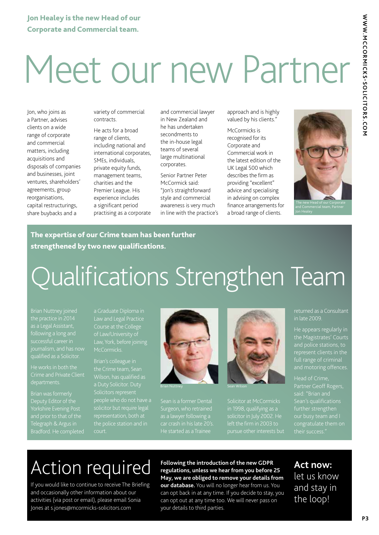# Meet our new Partner

Jon, who joins as a Partner, advises clients on a wide range of corporate and commercial matters, including acquisitions and disposals of companies and businesses, joint ventures, shareholders' agreements, group reorganisations, capital restructurings, share buybacks and a

variety of commercial contracts.

He acts for a broad range of clients, including national and international corporates, SMEs, individuals, private equity funds, management teams, charities and the Premier League. His experience includes a significant period practising as a corporate and commercial lawyer in New Zealand and he has undertaken secondments to the in-house legal teams of several large multinational corporates.

Senior Partner Peter McCormick said: "Jon's straightforward style and commercial awareness is very much in line with the practice's approach and is highly valued by his clients."

McCormicks is recognised for its Corporate and Commercial work in the latest edition of the UK Legal 500 which describes the firm as providing "excellent" advice and specialising in advising on complex finance arrangements for a broad range of clients.



### The expertise of our Crime team has been further strengthened by two new qualifications.

### Qualifications Strengthen Team

as a Legal Assistant, following a long and successful career in

He works in both the

Brian was formerly Deputy Editor of the Yorkshire Evening Post Telegraph & Argus in

a Graduate Diploma in Course at the College of Law/University of

Brian's colleague in the Crime team, Sean Wilson, has qualified as solicitor but require legal representation, both at court.



Sean is a former Dental Surgeon, who retrained



Solicitor at McCormicks left the firm in 2003 to

returned as a Consultant in late 2009.

He appears regularly in the Magistrates' Courts and police stations, to full range of criminal and motoring offences.

said: "Brian and Sean's qualifications further strengthen our busy team and I

### Action required

If you would like to continue to receive The Briefing and occasionally other information about our activities (via post or email), please email Sonia Jones at s.jones@mcormicks-solicitors.com

**Following the introduction of the new GDPR regulations, unless we hear from you before 25 May, we are obliged to remove your details from our database.** You will no longer hear from us. You can opt back in at any time. If you decide to stay, you can opt out at any time too. We will never pass on your details to third parties.

**Act now:** let us know and stay in the loop!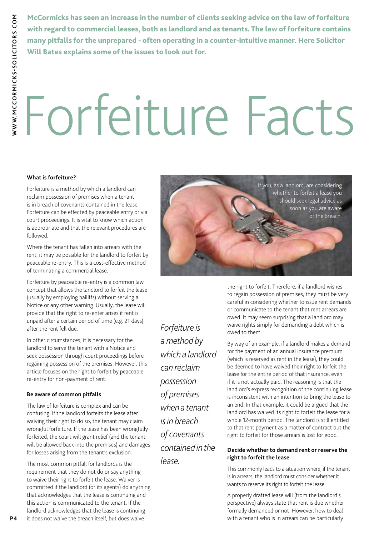**WW.MCCORMICKS-SOLICITORS.COM WWW.MCCORMICKS-SOLICITORS.COM**

McCormicks has seen an increase in the number of clients seeking advice on the law of forfeiture with regard to commercial leases, both as landlord and as tenants. The law of forfeiture contains many pitfalls for the unprepared - often operating in a counter-intuitive manner. Here Solicitor Will Bates explains some of the issues to look out for.

# Forfeiture Facts

### **What is forfeiture?**

Forfeiture is a method by which a landlord can reclaim possession of premises when a tenant is in breach of covenants contained in the lease. Forfeiture can be effected by peaceable entry or via court proceedings. It is vital to know which action is appropriate and that the relevant procedures are followed.

Where the tenant has fallen into arrears with the rent, it may be possible for the landlord to forfeit by peaceable re-entry. This is a cost-effective method of terminating a commercial lease.

Forfeiture by peaceable re-entry is a common law concept that allows the landlord to forfeit the lease (usually by employing bailiffs) without serving a Notice or any other warning. Usually, the lease will provide that the right to re-enter arises if rent is unpaid after a certain period of time (e.g. 21 days) after the rent fell due.

In other circumstances, it is necessary for the landlord to serve the tenant with a Notice and seek possession through court proceedings before regaining possession of the premises. However, this article focuses on the right to forfeit by peaceable re-entry for non-payment of rent.

### **Be aware of common pitfalls**

The law of forfeiture is complex and can be confusing. If the landlord forfeits the lease after waiving their right to do so, the tenant may claim wrongful forfeiture. If the lease has been wrongfully forfeited, the court will grant relief (and the tenant will be allowed back into the premises) and damages for losses arising from the tenant's exclusion.

The most common pitfall for landlords is the requirement that they do not do or say anything to waive their right to forfeit the lease. Waiver is committed if the landlord (or its agents) do anything that acknowledges that the lease is continuing and this action is communicated to the tenant. If the landlord acknowledges that the lease is continuing



*Forfeiture is a method by which a landlord can reclaim possession of premises when a tenant is in breach of covenants contained in the lease.* 

the right to forfeit. Therefore, if a landlord wishes to regain possession of premises, they must be very careful in considering whether to issue rent demands or communicate to the tenant that rent arrears are owed. It may seem surprising that a landlord may waive rights simply for demanding a debt which is owed to them.

By way of an example, if a landlord makes a demand for the payment of an annual insurance premium (which is reserved as rent in the lease), they could be deemed to have waived their right to forfeit the lease for the entire period of that insurance, even if it is not actually paid. The reasoning is that the landlord's express recognition of the continuing lease is inconsistent with an intention to bring the lease to an end. In that example, it could be argued that the landlord has waived its right to forfeit the lease for a whole 12-month period. The landlord is still entitled to that rent payment as a matter of contract but the right to forfeit for those arrears is lost for good.

### **Decide whether to demand rent or reserve the right to forfeit the lease**

This commonly leads to a situation where, if the tenant is in arrears, the landlord must consider whether it wants to reserve its right to forfeit the lease.

**P4** it does not waive the breach itself, but does waive **Alterative and the vertex** with a tenant who is in arrears can be particularly A properly drafted lease will (from the landlord's perspective) always state that rent is due whether formally demanded or not. However, how to deal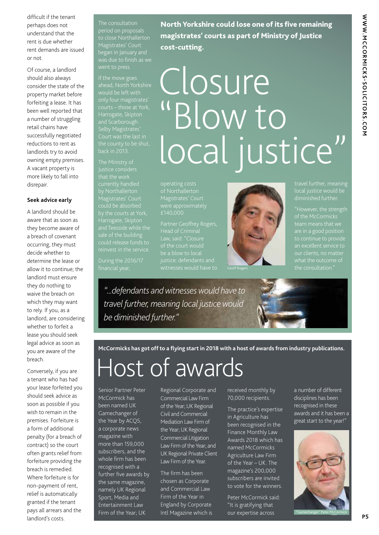difficult if the tenant perhaps does not understand that the rent is due whether rent demands are issued or not.

Of course, a landlord should also always consider the state of the property market before forfeiting a lease. It has been well reported that a number of struggling retail chains have successfully negotiated reductions to rent as landlords try to avoid owning empty premises. A vacant property is more likely to fall into disrepair.

#### **Seek advice early**

A landlord should be aware that as soon as they become aware of a breach of covenant occurring, they must decide whether to determine the lease or allow it to continue; the landlord must ensure they do nothing to waive the breach on which they may want to rely. If you, as a landlord, are considering whether to forfeit a lease you should seek legal advice as soon as you are aware of the breach.

Conversely, if you are a tenant who has had your lease forfeited you should seek advice as soon as possible if you wish to remain in the premises. Forfeiture is a form of additional penalty (for a breach of contract) so the court often grants relief from forfeiture providing the breach is remedied. Where forfeiture is for non-payment of rent, relief is automatically granted if the tenant pays all arrears and the landlord's costs. **P5** 

The consultation period on proposals to close Northallerton Magistrates' Court

If the move goes only four magistrates' and Scarborough. Selby Magistrates' back in 2013.

Justice considers that the work currently handled by Northallerton Magistrates' Court could be absorbed Harrogate, Skipton

North Yorkshire could lose one of its five remaining magistrates' courts as part of Ministry of Justice cost-cutting.

## Closure "Blow to local justice"

operating costs of Northallerton Magistrates' Court were approximately £140,000.

Head of Criminal justice: defendants and



travel further, meaning local justice would be

"However, the strength of the McCormicks

*"...defendants and witnesses would have to travel further, meaning local justice would be diminished further."*

**McCormicks has got off to a flying start in 2018 with a host of awards from industry publications.**

### Host of awards

Senior Partner Peter McCormick has been named UK Gamechanger of the Year by ACQ5, a corporate news magazine with more than 159,000 subscribers, and the whole firm has been recognised with a further five awards by the same magazine, namely UK Regional Sport, Media and Entertainment Law Firm of the Year; UK

Regional Corporate and Commercial Law Firm of the Year; UK Regional Civil and Commercial Mediation Law Firm of the Year; UK Regional Commercial Litigation Law Firm of the Year; and UK Regional Private Client Law Firm of the Year.

The firm has been chosen as Corporate and Commercial Law Firm of the Year in England by Corporate Intl Magazine which is received monthly by 70,000 recipients.

The practice's expertise in Agriculture has been recognised in the Finance Monthly Law Awards 2018 which has named McCormicks Agriculture Law Firm of the Year – UK. The magazine's 200,000 subscribers are invited to vote for the winners.

Peter McCormick said: "It is gratifying that our expertise across

a number of different disciplines has been recognised in these awards and it has been a great start to the year!"

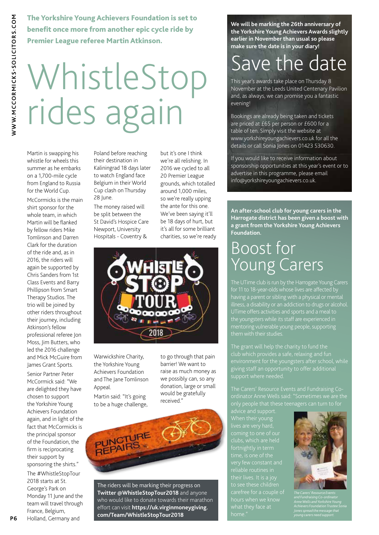The Yorkshire Young Achievers Foundation is set to benefit once more from another epic cycle ride by Premier League referee Martin Atkinson.

# WhistleStop rides again

Martin is swapping his whistle for wheels this summer as he embarks on a 1,700-mile cycle from England to Russia for the World Cup.

McCormicks is the main shirt sponsor for the whole team, in which Martin will be flanked by fellow riders Mike Tomlinson and Darren Clark for the duration of the ride and, as in 2016, the riders will again be supported by Chris Sanders from 1st Class Events and Barry Phillipson from Smart Therapy Studios. The trio will be joined by other riders throughout their journey, including Atkinson's fellow professional referee Jon Moss, Jim Butters, who led the 2016 challenge and Mick McGuire from James Grant Sports.

Senior Partner Peter McCormick said: "We are delighted they have chosen to support the Yorkshire Young Achievers Foundation again, and in light of the fact that McCormicks is the principal sponsor of the Foundation, the firm is reciprocating their support by sponsoring the shirts." The #WhistleStopTour 2018 starts at St. George's Park on Monday 11 June and the team will travel through France, Belgium, Holland, Germany and

Poland before reaching their destination in Kaliningrad 18 days later to watch England face Belgium in their World Cup clash on Thursday 28 June.

The money raised will be split between the St David's Hospice Care Newport, University Hospitals - Coventry &

but it's one I think we're all relishing. In 2016 we cycled to all 20 Premier League grounds, which totalled around 1,000 miles, so we're really upping the ante for this one. We've been saying it'll be 18 days of hurt, but it's all for some brilliant charities, so we're ready



Warwickshire Charity, the Yorkshire Young Achievers Foundation and The Jane Tomlinson Appeal.

Martin said: "It's going to be a huge challenge, to go through that pain barrier! We want to raise as much money as we possibly can, so any donation, large or small would be gratefully received."



The riders will be marking their progress on **Twitter @WhistleStopTour2018** and anyone who would like to donate towards their marathon effort can visit **https://uk.virginmoneygiving. com/Team/WhistleStopTour2018**

**We will be marking the 26th anniversary of the Yorkshire Young Achievers Awards slightly earlier in November than usual so please make sure the date is in your diary!** 

### Save the date

This year's awards take place on Thursday 8 November at the Leeds United Centenary Pavilion and, as always, we can promise you a fantastic evening!

Bookings are already being taken and tickets are priced at £65 per person or £600 for a table of ten. Simply visit the website at www.yorkshireyoungachievers.co.uk for all the details or call Sonia Jones on 01423 530630.

If you would like to receive information about sponsorship opportunities at this year's event or to advertise in this programme, please email info@yorkshireyoungachievers.co.uk.

**An after-school club for young carers in the Harrogate district has been given a boost with a grant from the Yorkshire Young Achievers Foundation.**

### Boost for Young Carers

The UTime club is run by the Harrogate Young Carers having a parent or sibling with a physical or mental illness, a disability or an addiction to drugs or alcohol. UTime offers activities and sports and a meal to the youngsters while its staff are experienced in mentoring vulnerable young people, supporting

giving staff an opportunity to offer additional support where needed.

only people that these teenagers can turn to for

clubs, which are held home.

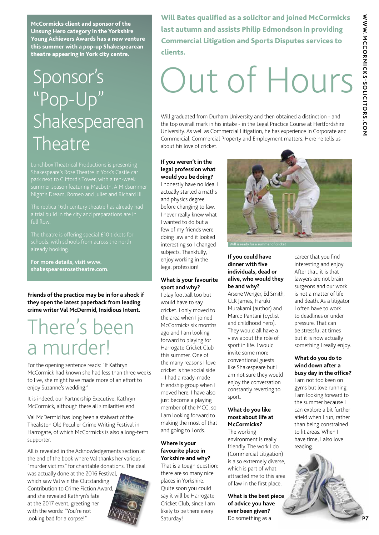WWW.MCCORMICKS-SOLICITORS.COM **WWW.MCCORMICKS-SOLICITORS.COM**

McCormicks client and sponsor of the Unsung Hero category in the Yorkshire Young Achievers Awards has a new venture this summer with a pop-up Shakespearean theatre appearing in York city centre.

### Sponsor's "Pop-Up" Shakespearean **Theatre**

Night's Dream, Romeo and Juliet and Richard III.

full flow.

**For more details, visit www. shakespearesrosetheatre.com.**

**Friends of the practice may be in for a shock if they open the latest paperback from leading crime writer Val McDermid, Insidious Intent.**

### There's been a murder!

For the opening sentence reads: "If Kathryn McCormick had known she had less than three weeks to live, she might have made more of an effort to enjoy Suzanne's wedding."

It is indeed, our Partnership Executive, Kathryn McCormick, although there all similarities end.

Val McDermid has long been a stalwart of the Theakston Old Peculier Crime Writing Festival in Harrogate, of which McCormicks is also a long-term supporter.

All is revealed in the Acknowledgements section at the end of the book where Val thanks her various "murder victims" for charitable donations. The deal

was actually done at the 2016 Festival, which saw Val win the Outstanding Contribution to Crime Fiction Award, and she revealed Kathryn's fate at the 2017 event, greeting her with the words: "You're not looking bad for a corpse!"



Will Bates qualified as a solicitor and joined McCormicks last autumn and assists Philip Edmondson in providing Commercial Litigation and Sports Disputes services to clients.

# Out of Hours

Will graduated from Durham University and then obtained a distinction - and the top overall mark in his intake - in the Legal Practice Course at Hertfordshire University. As well as Commercial Litigation, he has experience in Corporate and Commercial, Commercial Property and Employment matters. Here he tells us about his love of cricket.

#### **If you weren't in the legal profession what would you be doing?**

I honestly have no idea. I actually started a maths and physics degree before changing to law. I never really knew what I wanted to do but a few of my friends were doing law and it looked interesting so I changed subjects. Thankfully, I enjoy working in the legal profession!

### **What is your favourite sport and why?**

I play football too but would have to say cricket. I only moved to the area when I joined McCormicks six months ago and I am looking forward to playing for Harrogate Cricket Club this summer. One of the many reasons I love cricket is the social side – I had a ready-made friendship group when I moved here. I have also just become a playing member of the MCC, so I am looking forward to making the most of that and going to Lords.

### **Where is your favourite place in Yorkshire and why?**

That is a tough question; there are so many nice places in Yorkshire. Quite soon you could say it will be Harrogate Cricket Club, since I am likely to be there every Saturday!



#### **If you could have dinner with five individuals, dead or alive, who would they be and why?**

Arsene Wenger, Ed Smith, CLR James, Haruki Murakami (author) and Marco Pantani (cyclist and childhood hero). They would all have a view about the role of sport in life. I would invite some more conventional guests like Shakespeare but I am not sure they would enjoy the conversation constantly reverting to sport.

### **What do you like most about life at McCormicks?**

The working environment is really friendly. The work I do (Commercial Litigation) is also extremely diverse, which is part of what attracted me to this area of law in the first place.

**What is the best piece of advice you have ever been given?** Do something as a

career that you find interesting and enjoy. After that, it is that lawyers are not brain surgeons and our work is not a matter of life and death. As a litigator I often have to work to deadlines or under pressure. That can be stressful at times but it is now actually something I really enjoy.

### **What do you do to wind down after a busy day in the office?**

I am not too keen on gyms but love running. I am looking forward to the summer because I can explore a bit further afield when I run, rather than being constrained to lit areas. When I have time, I also love reading.